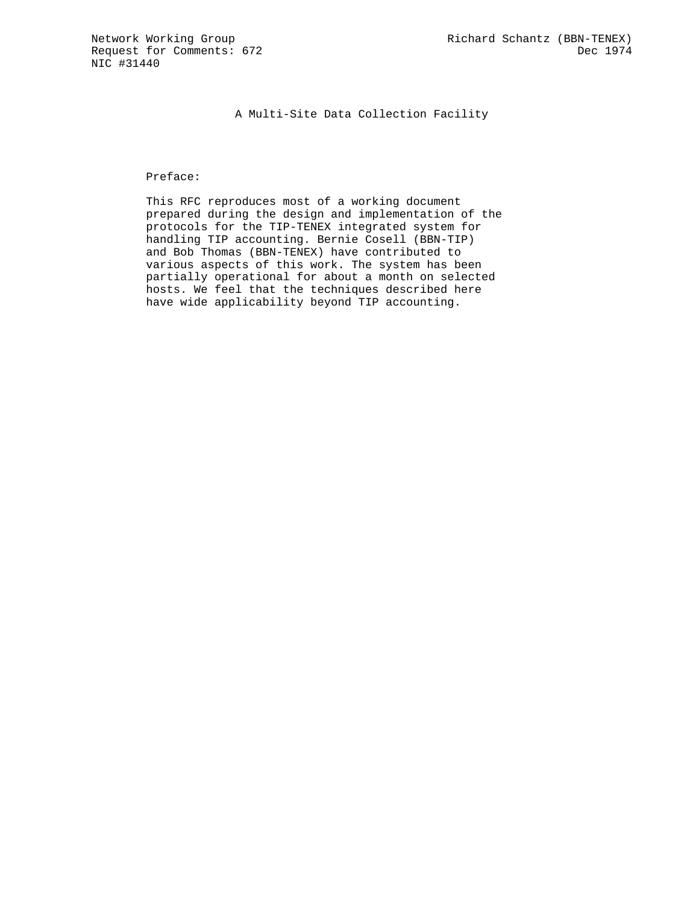A Multi-Site Data Collection Facility

## Preface:

 This RFC reproduces most of a working document prepared during the design and implementation of the protocols for the TIP-TENEX integrated system for handling TIP accounting. Bernie Cosell (BBN-TIP) and Bob Thomas (BBN-TENEX) have contributed to various aspects of this work. The system has been partially operational for about a month on selected hosts. We feel that the techniques described here have wide applicability beyond TIP accounting.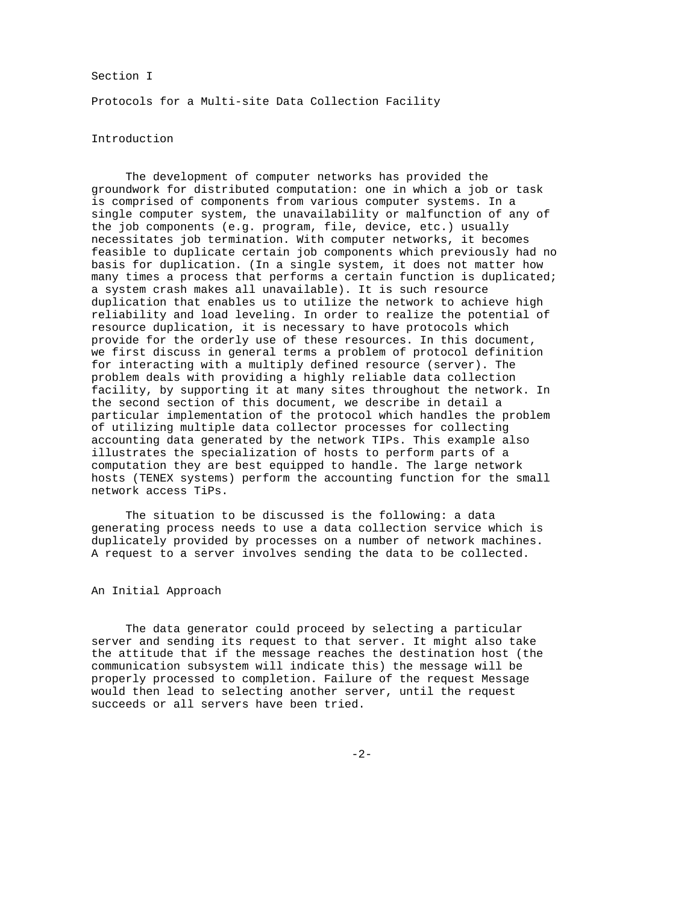## Section I

Protocols for a Multi-site Data Collection Facility

## Introduction

 The development of computer networks has provided the groundwork for distributed computation: one in which a job or task is comprised of components from various computer systems. In a single computer system, the unavailability or malfunction of any of the job components (e.g. program, file, device, etc.) usually necessitates job termination. With computer networks, it becomes feasible to duplicate certain job components which previously had no basis for duplication. (In a single system, it does not matter how many times a process that performs a certain function is duplicated; a system crash makes all unavailable). It is such resource duplication that enables us to utilize the network to achieve high reliability and load leveling. In order to realize the potential of resource duplication, it is necessary to have protocols which provide for the orderly use of these resources. In this document, we first discuss in general terms a problem of protocol definition for interacting with a multiply defined resource (server). The problem deals with providing a highly reliable data collection facility, by supporting it at many sites throughout the network. In the second section of this document, we describe in detail a particular implementation of the protocol which handles the problem of utilizing multiple data collector processes for collecting accounting data generated by the network TIPs. This example also illustrates the specialization of hosts to perform parts of a computation they are best equipped to handle. The large network hosts (TENEX systems) perform the accounting function for the small network access TiPs.

 The situation to be discussed is the following: a data generating process needs to use a data collection service which is duplicately provided by processes on a number of network machines. A request to a server involves sending the data to be collected.

An Initial Approach

 The data generator could proceed by selecting a particular server and sending its request to that server. It might also take the attitude that if the message reaches the destination host (the communication subsystem will indicate this) the message will be properly processed to completion. Failure of the request Message would then lead to selecting another server, until the request succeeds or all servers have been tried.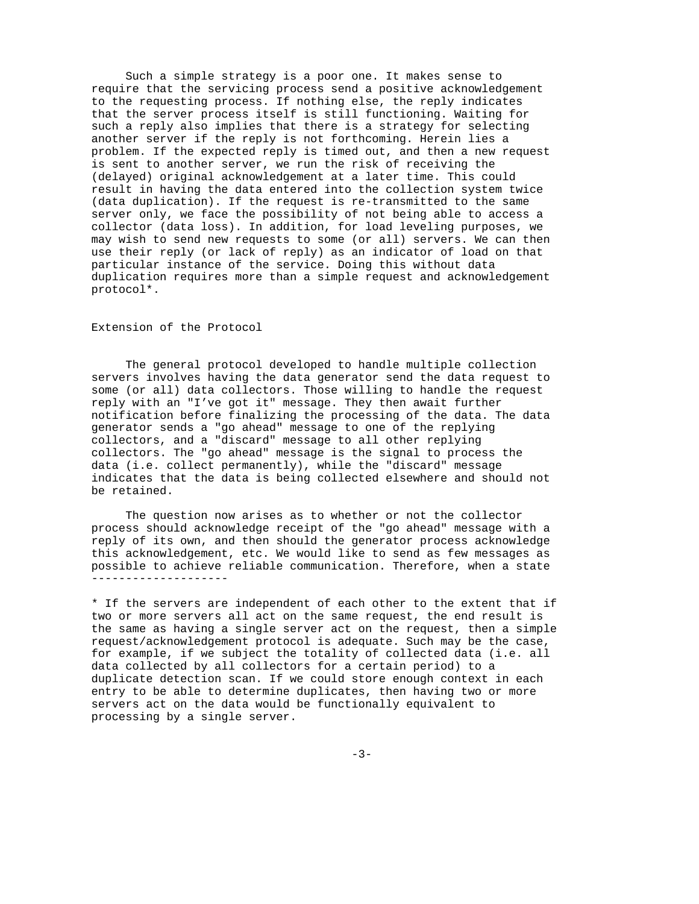Such a simple strategy is a poor one. It makes sense to require that the servicing process send a positive acknowledgement to the requesting process. If nothing else, the reply indicates that the server process itself is still functioning. Waiting for such a reply also implies that there is a strategy for selecting another server if the reply is not forthcoming. Herein lies a problem. If the expected reply is timed out, and then a new request is sent to another server, we run the risk of receiving the (delayed) original acknowledgement at a later time. This could result in having the data entered into the collection system twice (data duplication). If the request is re-transmitted to the same server only, we face the possibility of not being able to access a collector (data loss). In addition, for load leveling purposes, we may wish to send new requests to some (or all) servers. We can then use their reply (or lack of reply) as an indicator of load on that particular instance of the service. Doing this without data duplication requires more than a simple request and acknowledgement protocol\*.

## Extension of the Protocol

 The general protocol developed to handle multiple collection servers involves having the data generator send the data request to some (or all) data collectors. Those willing to handle the request reply with an "I've got it" message. They then await further notification before finalizing the processing of the data. The data generator sends a "go ahead" message to one of the replying collectors, and a "discard" message to all other replying collectors. The "go ahead" message is the signal to process the data (i.e. collect permanently), while the "discard" message indicates that the data is being collected elsewhere and should not be retained.

 The question now arises as to whether or not the collector process should acknowledge receipt of the "go ahead" message with a reply of its own, and then should the generator process acknowledge this acknowledgement, etc. We would like to send as few messages as possible to achieve reliable communication. Therefore, when a state --------------------

\* If the servers are independent of each other to the extent that if two or more servers all act on the same request, the end result is the same as having a single server act on the request, then a simple request/acknowledgement protocol is adequate. Such may be the case, for example, if we subject the totality of collected data (i.e. all data collected by all collectors for a certain period) to a duplicate detection scan. If we could store enough context in each entry to be able to determine duplicates, then having two or more servers act on the data would be functionally equivalent to processing by a single server.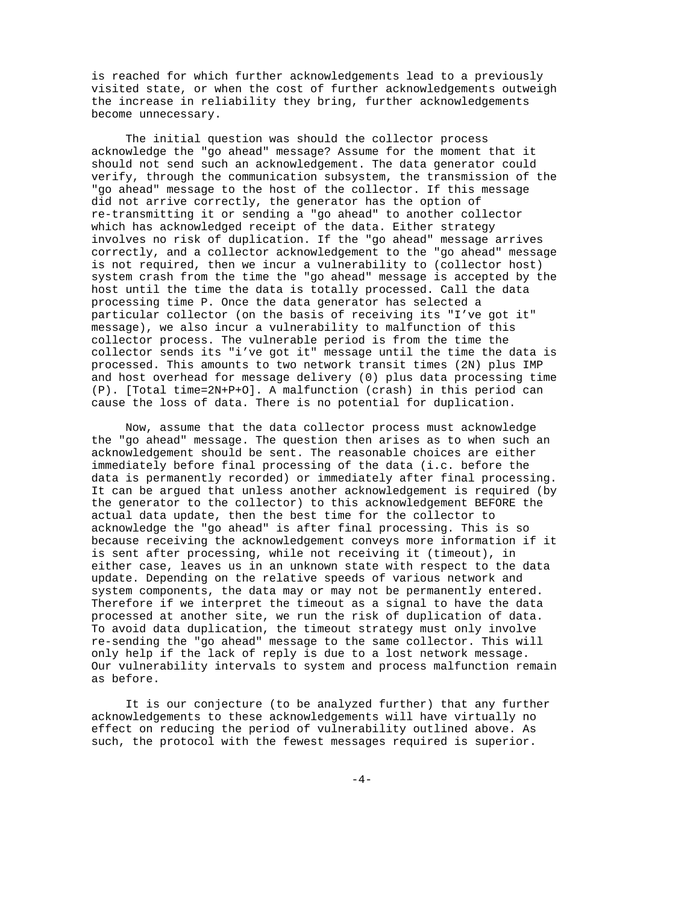is reached for which further acknowledgements lead to a previously visited state, or when the cost of further acknowledgements outweigh the increase in reliability they bring, further acknowledgements become unnecessary.

 The initial question was should the collector process acknowledge the "go ahead" message? Assume for the moment that it should not send such an acknowledgement. The data generator could verify, through the communication subsystem, the transmission of the "go ahead" message to the host of the collector. If this message did not arrive correctly, the generator has the option of re-transmitting it or sending a "go ahead" to another collector which has acknowledged receipt of the data. Either strategy involves no risk of duplication. If the "go ahead" message arrives correctly, and a collector acknowledgement to the "go ahead" message is not required, then we incur a vulnerability to (collector host) system crash from the time the "go ahead" message is accepted by the host until the time the data is totally processed. Call the data processing time P. Once the data generator has selected a particular collector (on the basis of receiving its "I've got it" message), we also incur a vulnerability to malfunction of this collector process. The vulnerable period is from the time the collector sends its "i've got it" message until the time the data is processed. This amounts to two network transit times (2N) plus IMP and host overhead for message delivery (0) plus data processing time (P). [Total time=2N+P+O]. A malfunction (crash) in this period can cause the loss of data. There is no potential for duplication.

 Now, assume that the data collector process must acknowledge the "go ahead" message. The question then arises as to when such an acknowledgement should be sent. The reasonable choices are either immediately before final processing of the data (i.c. before the data is permanently recorded) or immediately after final processing. It can be argued that unless another acknowledgement is required (by the generator to the collector) to this acknowledgement BEFORE the actual data update, then the best time for the collector to acknowledge the "go ahead" is after final processing. This is so because receiving the acknowledgement conveys more information if it is sent after processing, while not receiving it (timeout), in either case, leaves us in an unknown state with respect to the data update. Depending on the relative speeds of various network and system components, the data may or may not be permanently entered. Therefore if we interpret the timeout as a signal to have the data processed at another site, we run the risk of duplication of data. To avoid data duplication, the timeout strategy must only involve re-sending the "go ahead" message to the same collector. This will only help if the lack of reply is due to a lost network message. Our vulnerability intervals to system and process malfunction remain as before.

 It is our conjecture (to be analyzed further) that any further acknowledgements to these acknowledgements will have virtually no effect on reducing the period of vulnerability outlined above. As such, the protocol with the fewest messages required is superior.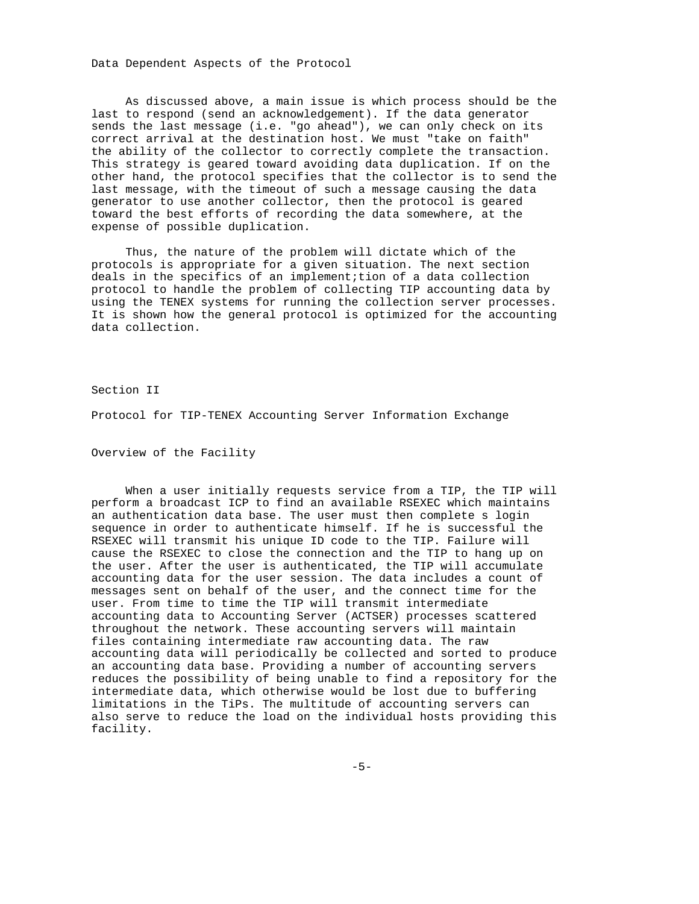Data Dependent Aspects of the Protocol

 As discussed above, a main issue is which process should be the last to respond (send an acknowledgement). If the data generator sends the last message (i.e. "go ahead"), we can only check on its correct arrival at the destination host. We must "take on faith" the ability of the collector to correctly complete the transaction. This strategy is geared toward avoiding data duplication. If on the other hand, the protocol specifies that the collector is to send the last message, with the timeout of such a message causing the data generator to use another collector, then the protocol is geared toward the best efforts of recording the data somewhere, at the expense of possible duplication.

 Thus, the nature of the problem will dictate which of the protocols is appropriate for a given situation. The next section deals in the specifics of an implement;tion of a data collection protocol to handle the problem of collecting TIP accounting data by using the TENEX systems for running the collection server processes. It is shown how the general protocol is optimized for the accounting data collection.

Section II

Protocol for TIP-TENEX Accounting Server Information Exchange

Overview of the Facility

 When a user initially requests service from a TIP, the TIP will perform a broadcast ICP to find an available RSEXEC which maintains an authentication data base. The user must then complete s login sequence in order to authenticate himself. If he is successful the RSEXEC will transmit his unique ID code to the TIP. Failure will cause the RSEXEC to close the connection and the TIP to hang up on the user. After the user is authenticated, the TIP will accumulate accounting data for the user session. The data includes a count of messages sent on behalf of the user, and the connect time for the user. From time to time the TIP will transmit intermediate accounting data to Accounting Server (ACTSER) processes scattered throughout the network. These accounting servers will maintain files containing intermediate raw accounting data. The raw accounting data will periodically be collected and sorted to produce an accounting data base. Providing a number of accounting servers reduces the possibility of being unable to find a repository for the intermediate data, which otherwise would be lost due to buffering limitations in the TiPs. The multitude of accounting servers can also serve to reduce the load on the individual hosts providing this facility.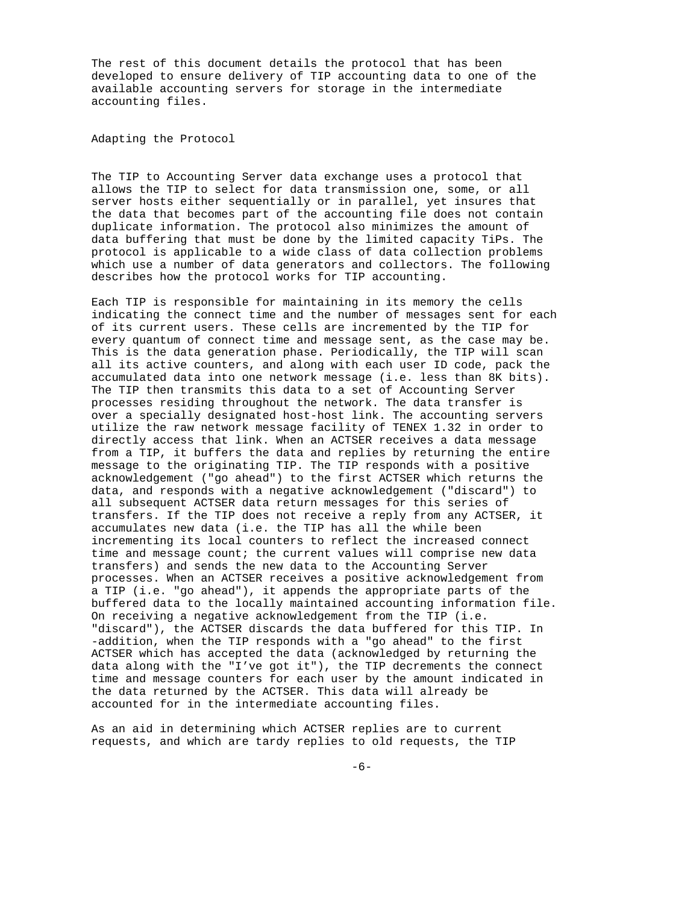The rest of this document details the protocol that has been developed to ensure delivery of TIP accounting data to one of the available accounting servers for storage in the intermediate accounting files.

Adapting the Protocol

The TIP to Accounting Server data exchange uses a protocol that allows the TIP to select for data transmission one, some, or all server hosts either sequentially or in parallel, yet insures that the data that becomes part of the accounting file does not contain duplicate information. The protocol also minimizes the amount of data buffering that must be done by the limited capacity TiPs. The protocol is applicable to a wide class of data collection problems which use a number of data generators and collectors. The following describes how the protocol works for TIP accounting.

Each TIP is responsible for maintaining in its memory the cells indicating the connect time and the number of messages sent for each of its current users. These cells are incremented by the TIP for every quantum of connect time and message sent, as the case may be. This is the data generation phase. Periodically, the TIP will scan all its active counters, and along with each user ID code, pack the accumulated data into one network message (i.e. less than 8K bits). The TIP then transmits this data to a set of Accounting Server processes residing throughout the network. The data transfer is over a specially designated host-host link. The accounting servers utilize the raw network message facility of TENEX 1.32 in order to directly access that link. When an ACTSER receives a data message from a TIP, it buffers the data and replies by returning the entire message to the originating TIP. The TIP responds with a positive acknowledgement ("go ahead") to the first ACTSER which returns the data, and responds with a negative acknowledgement ("discard") to all subsequent ACTSER data return messages for this series of transfers. If the TIP does not receive a reply from any ACTSER, it accumulates new data (i.e. the TIP has all the while been incrementing its local counters to reflect the increased connect time and message count; the current values will comprise new data transfers) and sends the new data to the Accounting Server processes. When an ACTSER receives a positive acknowledgement from a TIP (i.e. "go ahead"), it appends the appropriate parts of the buffered data to the locally maintained accounting information file. On receiving a negative acknowledgement from the TIP (i.e. "discard"), the ACTSER discards the data buffered for this TIP. In -addition, when the TIP responds with a "go ahead" to the first ACTSER which has accepted the data (acknowledged by returning the data along with the "I've got it"), the TIP decrements the connect time and message counters for each user by the amount indicated in the data returned by the ACTSER. This data will already be accounted for in the intermediate accounting files.

As an aid in determining which ACTSER replies are to current requests, and which are tardy replies to old requests, the TIP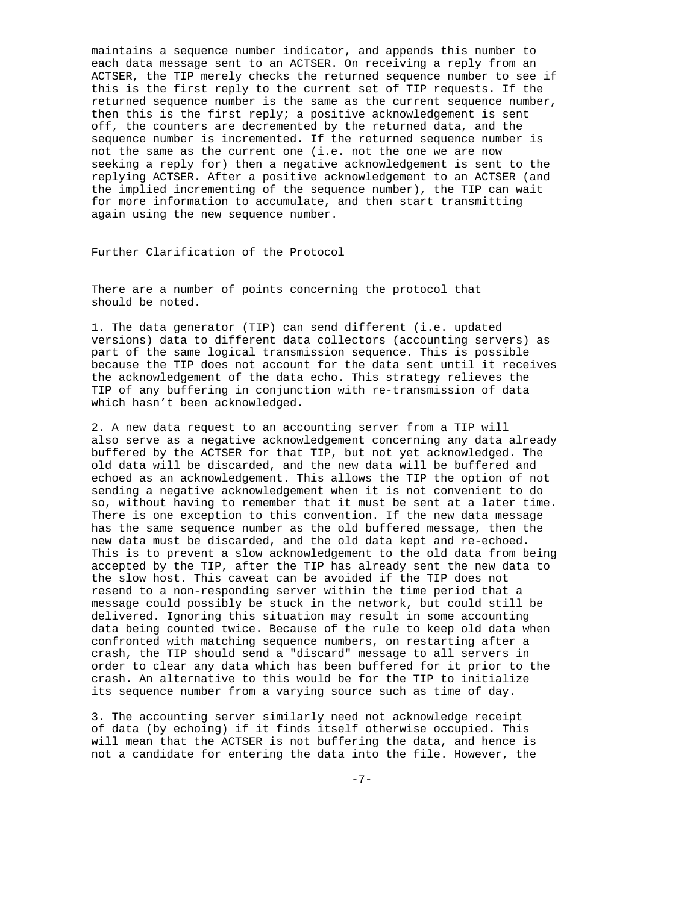maintains a sequence number indicator, and appends this number to each data message sent to an ACTSER. On receiving a reply from an ACTSER, the TIP merely checks the returned sequence number to see if this is the first reply to the current set of TIP requests. If the returned sequence number is the same as the current sequence number, then this is the first reply; a positive acknowledgement is sent off, the counters are decremented by the returned data, and the sequence number is incremented. If the returned sequence number is not the same as the current one (i.e. not the one we are now seeking a reply for) then a negative acknowledgement is sent to the replying ACTSER. After a positive acknowledgement to an ACTSER (and the implied incrementing of the sequence number), the TIP can wait for more information to accumulate, and then start transmitting again using the new sequence number.

Further Clarification of the Protocol

There are a number of points concerning the protocol that should be noted.

1. The data generator (TIP) can send different (i.e. updated versions) data to different data collectors (accounting servers) as part of the same logical transmission sequence. This is possible because the TIP does not account for the data sent until it receives the acknowledgement of the data echo. This strategy relieves the TIP of any buffering in conjunction with re-transmission of data which hasn't been acknowledged.

2. A new data request to an accounting server from a TIP will also serve as a negative acknowledgement concerning any data already buffered by the ACTSER for that TIP, but not yet acknowledged. The old data will be discarded, and the new data will be buffered and echoed as an acknowledgement. This allows the TIP the option of not sending a negative acknowledgement when it is not convenient to do so, without having to remember that it must be sent at a later time. There is one exception to this convention. If the new data message has the same sequence number as the old buffered message, then the new data must be discarded, and the old data kept and re-echoed. This is to prevent a slow acknowledgement to the old data from being accepted by the TIP, after the TIP has already sent the new data to the slow host. This caveat can be avoided if the TIP does not resend to a non-responding server within the time period that a message could possibly be stuck in the network, but could still be delivered. Ignoring this situation may result in some accounting data being counted twice. Because of the rule to keep old data when confronted with matching sequence numbers, on restarting after a crash, the TIP should send a "discard" message to all servers in order to clear any data which has been buffered for it prior to the crash. An alternative to this would be for the TIP to initialize its sequence number from a varying source such as time of day.

3. The accounting server similarly need not acknowledge receipt of data (by echoing) if it finds itself otherwise occupied. This will mean that the ACTSER is not buffering the data, and hence is not a candidate for entering the data into the file. However, the

-7-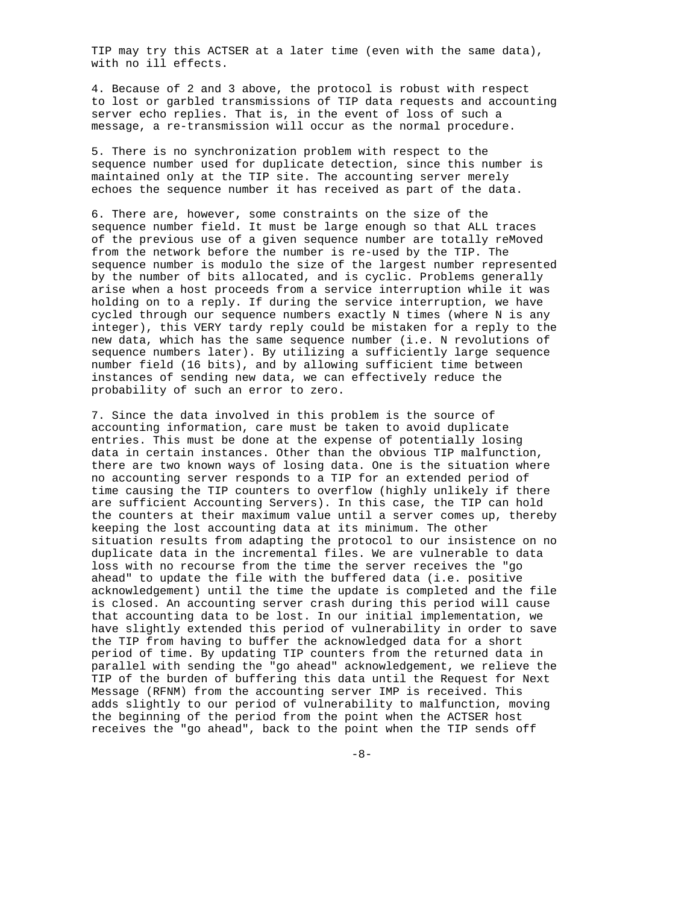TIP may try this ACTSER at a later time (even with the same data), with no ill effects.

4. Because of 2 and 3 above, the protocol is robust with respect to lost or garbled transmissions of TIP data requests and accounting server echo replies. That is, in the event of loss of such a message, a re-transmission will occur as the normal procedure.

5. There is no synchronization problem with respect to the sequence number used for duplicate detection, since this number is maintained only at the TIP site. The accounting server merely echoes the sequence number it has received as part of the data.

6. There are, however, some constraints on the size of the sequence number field. It must be large enough so that ALL traces of the previous use of a given sequence number are totally reMoved from the network before the number is re-used by the TIP. The sequence number is modulo the size of the largest number represented by the number of bits allocated, and is cyclic. Problems generally arise when a host proceeds from a service interruption while it was holding on to a reply. If during the service interruption, we have cycled through our sequence numbers exactly N times (where N is any integer), this VERY tardy reply could be mistaken for a reply to the new data, which has the same sequence number (i.e. N revolutions of sequence numbers later). By utilizing a sufficiently large sequence number field (16 bits), and by allowing sufficient time between instances of sending new data, we can effectively reduce the probability of such an error to zero.

7. Since the data involved in this problem is the source of accounting information, care must be taken to avoid duplicate entries. This must be done at the expense of potentially losing data in certain instances. Other than the obvious TIP malfunction, there are two known ways of losing data. One is the situation where no accounting server responds to a TIP for an extended period of time causing the TIP counters to overflow (highly unlikely if there are sufficient Accounting Servers). In this case, the TIP can hold the counters at their maximum value until a server comes up, thereby keeping the lost accounting data at its minimum. The other situation results from adapting the protocol to our insistence on no duplicate data in the incremental files. We are vulnerable to data loss with no recourse from the time the server receives the "go ahead" to update the file with the buffered data (i.e. positive acknowledgement) until the time the update is completed and the file is closed. An accounting server crash during this period will cause that accounting data to be lost. In our initial implementation, we have slightly extended this period of vulnerability in order to save the TIP from having to buffer the acknowledged data for a short period of time. By updating TIP counters from the returned data in parallel with sending the "go ahead" acknowledgement, we relieve the TIP of the burden of buffering this data until the Request for Next Message (RFNM) from the accounting server IMP is received. This adds slightly to our period of vulnerability to malfunction, moving the beginning of the period from the point when the ACTSER host receives the "go ahead", back to the point when the TIP sends off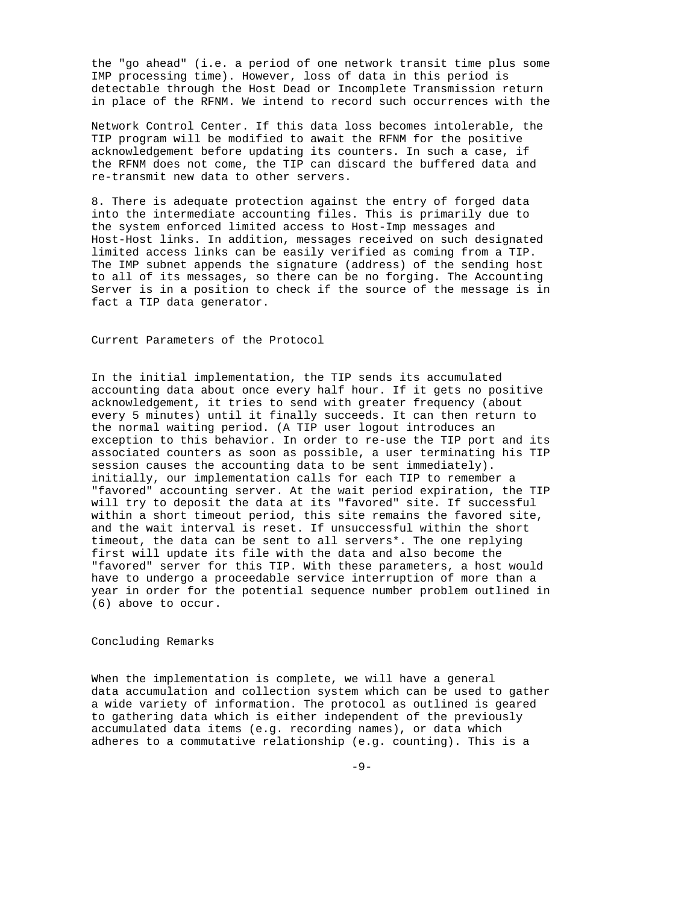the "go ahead" (i.e. a period of one network transit time plus some IMP processing time). However, loss of data in this period is detectable through the Host Dead or Incomplete Transmission return in place of the RFNM. We intend to record such occurrences with the

Network Control Center. If this data loss becomes intolerable, the TIP program will be modified to await the RFNM for the positive acknowledgement before updating its counters. In such a case, if the RFNM does not come, the TIP can discard the buffered data and re-transmit new data to other servers.

8. There is adequate protection against the entry of forged data into the intermediate accounting files. This is primarily due to the system enforced limited access to Host-Imp messages and Host-Host links. In addition, messages received on such designated limited access links can be easily verified as coming from a TIP. The IMP subnet appends the signature (address) of the sending host to all of its messages, so there can be no forging. The Accounting Server is in a position to check if the source of the message is in fact a TIP data generator.

Current Parameters of the Protocol

In the initial implementation, the TIP sends its accumulated accounting data about once every half hour. If it gets no positive acknowledgement, it tries to send with greater frequency (about every 5 minutes) until it finally succeeds. It can then return to the normal waiting period. (A TIP user logout introduces an exception to this behavior. In order to re-use the TIP port and its associated counters as soon as possible, a user terminating his TIP session causes the accounting data to be sent immediately). initially, our implementation calls for each TIP to remember a "favored" accounting server. At the wait period expiration, the TIP will try to deposit the data at its "favored" site. If successful within a short timeout period, this site remains the favored site, and the wait interval is reset. If unsuccessful within the short timeout, the data can be sent to all servers\*. The one replying first will update its file with the data and also become the "favored" server for this TIP. With these parameters, a host would have to undergo a proceedable service interruption of more than a year in order for the potential sequence number problem outlined in (6) above to occur.

Concluding Remarks

When the implementation is complete, we will have a general data accumulation and collection system which can be used to gather a wide variety of information. The protocol as outlined is geared to gathering data which is either independent of the previously accumulated data items (e.g. recording names), or data which adheres to a commutative relationship (e.g. counting). This is a